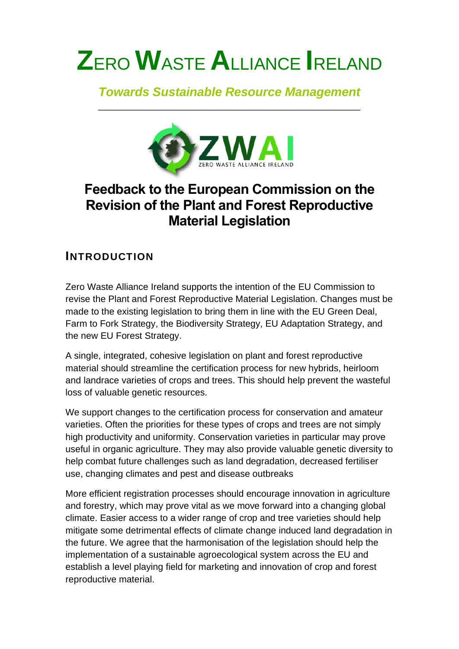# **Z**ERO **W**ASTE **A**LLIANCE **I**RELAND

#### *Towards Sustainable Resource Management* \_\_\_\_\_\_\_\_\_\_\_\_\_\_\_\_\_\_\_\_\_\_\_\_\_\_\_\_\_\_\_\_\_\_\_\_\_\_\_\_\_\_\_\_\_\_\_\_\_\_\_



## **Feedback to the European Commission on the Revision of the Plant and Forest Reproductive Material Legislation**

### **INTRODUCTION**

Zero Waste Alliance Ireland supports the intention of the EU Commission to revise the Plant and Forest Reproductive Material Legislation. Changes must be made to the existing legislation to bring them in line with the EU Green Deal, Farm to Fork Strategy, the Biodiversity Strategy, EU Adaptation Strategy, and the new EU Forest Strategy.

A single, integrated, cohesive legislation on plant and forest reproductive material should streamline the certification process for new hybrids, heirloom and landrace varieties of crops and trees. This should help prevent the wasteful loss of valuable genetic resources.

We support changes to the certification process for conservation and amateur varieties. Often the priorities for these types of crops and trees are not simply high productivity and uniformity. Conservation varieties in particular may prove useful in organic agriculture. They may also provide valuable genetic diversity to help combat future challenges such as land degradation, decreased fertiliser use, changing climates and pest and disease outbreaks

More efficient registration processes should encourage innovation in agriculture and forestry, which may prove vital as we move forward into a changing global climate. Easier access to a wider range of crop and tree varieties should help mitigate some detrimental effects of climate change induced land degradation in the future. We agree that the harmonisation of the legislation should help the implementation of a sustainable agroecological system across the EU and establish a level playing field for marketing and innovation of crop and forest reproductive material.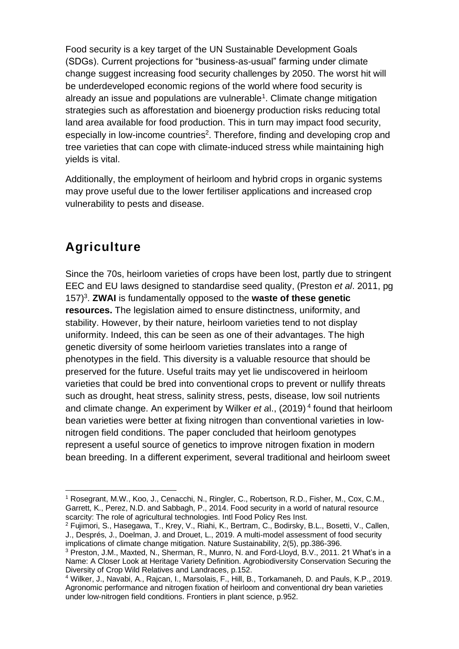Food security is a key target of the UN Sustainable Development Goals (SDGs). Current projections for "business-as-usual" farming under climate change suggest increasing food security challenges by 2050. The worst hit will be underdeveloped economic regions of the world where food security is already an issue and populations are vulnerable<sup>1</sup>. Climate change mitigation strategies such as afforestation and bioenergy production risks reducing total land area available for food production. This in turn may impact food security, especially in low-income countries<sup>2</sup>. Therefore, finding and developing crop and tree varieties that can cope with climate-induced stress while maintaining high yields is vital.

Additionally, the employment of heirloom and hybrid crops in organic systems may prove useful due to the lower fertiliser applications and increased crop vulnerability to pests and disease.

## **Agriculture**

Since the 70s, heirloom varieties of crops have been lost, partly due to stringent EEC and EU laws designed to standardise seed quality, (Preston *et al*. 2011, pg 157)<sup>3</sup> . **ZWAI** is fundamentally opposed to the **waste of these genetic resources.** The legislation aimed to ensure distinctness, uniformity, and stability. However, by their nature, heirloom varieties tend to not display uniformity. Indeed, this can be seen as one of their advantages. The high genetic diversity of some heirloom varieties translates into a range of phenotypes in the field. This diversity is a valuable resource that should be preserved for the future. Useful traits may yet lie undiscovered in heirloom varieties that could be bred into conventional crops to prevent or nullify threats such as drought, heat stress, salinity stress, pests, disease, low soil nutrients and climate change. An experiment by Wilker *et a*l., (2019) 4 found that heirloom bean varieties were better at fixing nitrogen than conventional varieties in lownitrogen field conditions. The paper concluded that heirloom genotypes represent a useful source of genetics to improve nitrogen fixation in modern bean breeding. In a different experiment, several traditional and heirloom sweet

<sup>1</sup> Rosegrant, M.W., Koo, J., Cenacchi, N., Ringler, C., Robertson, R.D., Fisher, M., Cox, C.M., Garrett, K., Perez, N.D. and Sabbagh, P., 2014. Food security in a world of natural resource scarcity: The role of agricultural technologies. Intl Food Policy Res Inst.

<sup>2</sup> Fujimori, S., Hasegawa, T., Krey, V., Riahi, K., Bertram, C., Bodirsky, B.L., Bosetti, V., Callen, J., Després, J., Doelman, J. and Drouet, L., 2019. A multi-model assessment of food security implications of climate change mitigation. Nature Sustainability, 2(5), pp.386-396.

<sup>&</sup>lt;sup>3</sup> Preston, J.M., Maxted, N., Sherman, R., Munro, N. and Ford-Lloyd, B.V., 2011. 21 What's in a Name: A Closer Look at Heritage Variety Definition. Agrobiodiversity Conservation Securing the Diversity of Crop Wild Relatives and Landraces, p.152.

<sup>4</sup> Wilker, J., Navabi, A., Rajcan, I., Marsolais, F., Hill, B., Torkamaneh, D. and Pauls, K.P., 2019. Agronomic performance and nitrogen fixation of heirloom and conventional dry bean varieties under low-nitrogen field conditions. Frontiers in plant science, p.952.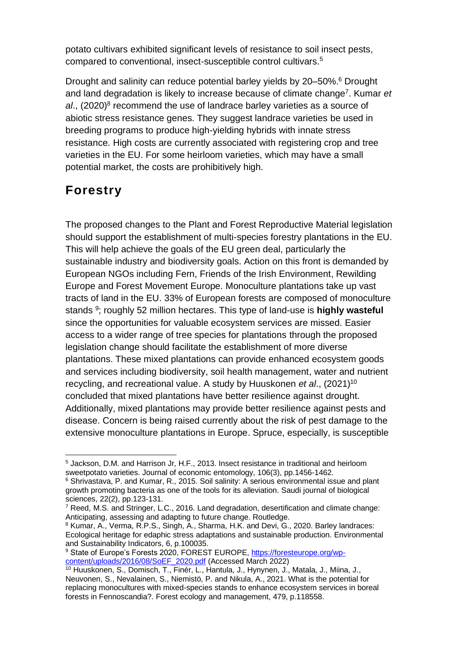potato cultivars exhibited significant levels of resistance to soil insect pests, compared to conventional, insect-susceptible control cultivars.<sup>5</sup>

Drought and salinity can reduce potential barley yields by 20–50%. <sup>6</sup> Drought and land degradation is likely to increase because of climate change<sup>7</sup>. Kumar et al., (2020)<sup>8</sup> recommend the use of landrace barley varieties as a source of abiotic stress resistance genes. They suggest landrace varieties be used in breeding programs to produce high-yielding hybrids with innate stress resistance. High costs are currently associated with registering crop and tree varieties in the EU. For some heirloom varieties, which may have a small potential market, the costs are prohibitively high.

## **Forestry**

The proposed changes to the Plant and Forest Reproductive Material legislation should support the establishment of multi-species forestry plantations in the EU. This will help achieve the goals of the EU green deal, particularly the sustainable industry and biodiversity goals. Action on this front is demanded by European NGOs including Fern, Friends of the Irish Environment, Rewilding Europe and Forest Movement Europe. Monoculture plantations take up vast tracts of land in the EU. 33% of European forests are composed of monoculture stands <sup>9</sup>; roughly 52 million hectares. This type of land-use is **highly wasteful** since the opportunities for valuable ecosystem services are missed. Easier access to a wider range of tree species for plantations through the proposed legislation change should facilitate the establishment of more diverse plantations. These mixed plantations can provide enhanced ecosystem goods and services including biodiversity, soil health management, water and nutrient recycling, and recreational value. A study by Huuskonen *et al*., (2021)<sup>10</sup> concluded that mixed plantations have better resilience against drought. Additionally, mixed plantations may provide better resilience against pests and disease. Concern is being raised currently about the risk of pest damage to the extensive monoculture plantations in Europe. Spruce, especially, is susceptible

<sup>5</sup> Jackson, D.M. and Harrison Jr, H.F., 2013. Insect resistance in traditional and heirloom sweetpotato varieties. Journal of economic entomology, 106(3), pp.1456-1462.

<sup>&</sup>lt;sup>6</sup> Shrivastava, P. and Kumar, R., 2015. Soil salinity: A serious environmental issue and plant growth promoting bacteria as one of the tools for its alleviation. Saudi journal of biological sciences, 22(2), pp.123-131.

<sup>7</sup> Reed, M.S. and Stringer, L.C., 2016. Land degradation, desertification and climate change: Anticipating, assessing and adapting to future change. Routledge.

<sup>8</sup> Kumar, A., Verma, R.P.S., Singh, A., Sharma, H.K. and Devi, G., 2020. Barley landraces: Ecological heritage for edaphic stress adaptations and sustainable production. Environmental and Sustainability Indicators, 6, p.100035.

<sup>9</sup> State of Europe's Forests 2020, FOREST EUROPE, [https://foresteurope.org/wp](https://foresteurope.org/wp-content/uploads/2016/08/SoEF_2020.pdf)[content/uploads/2016/08/SoEF\\_2020.pdf](https://foresteurope.org/wp-content/uploads/2016/08/SoEF_2020.pdf) (Accessed March 2022)

<sup>10</sup> Huuskonen, S., Domisch, T., Finér, L., Hantula, J., Hynynen, J., Matala, J., Miina, J., Neuvonen, S., Nevalainen, S., Niemistö, P. and Nikula, A., 2021. What is the potential for replacing monocultures with mixed-species stands to enhance ecosystem services in boreal forests in Fennoscandia?. Forest ecology and management, 479, p.118558.